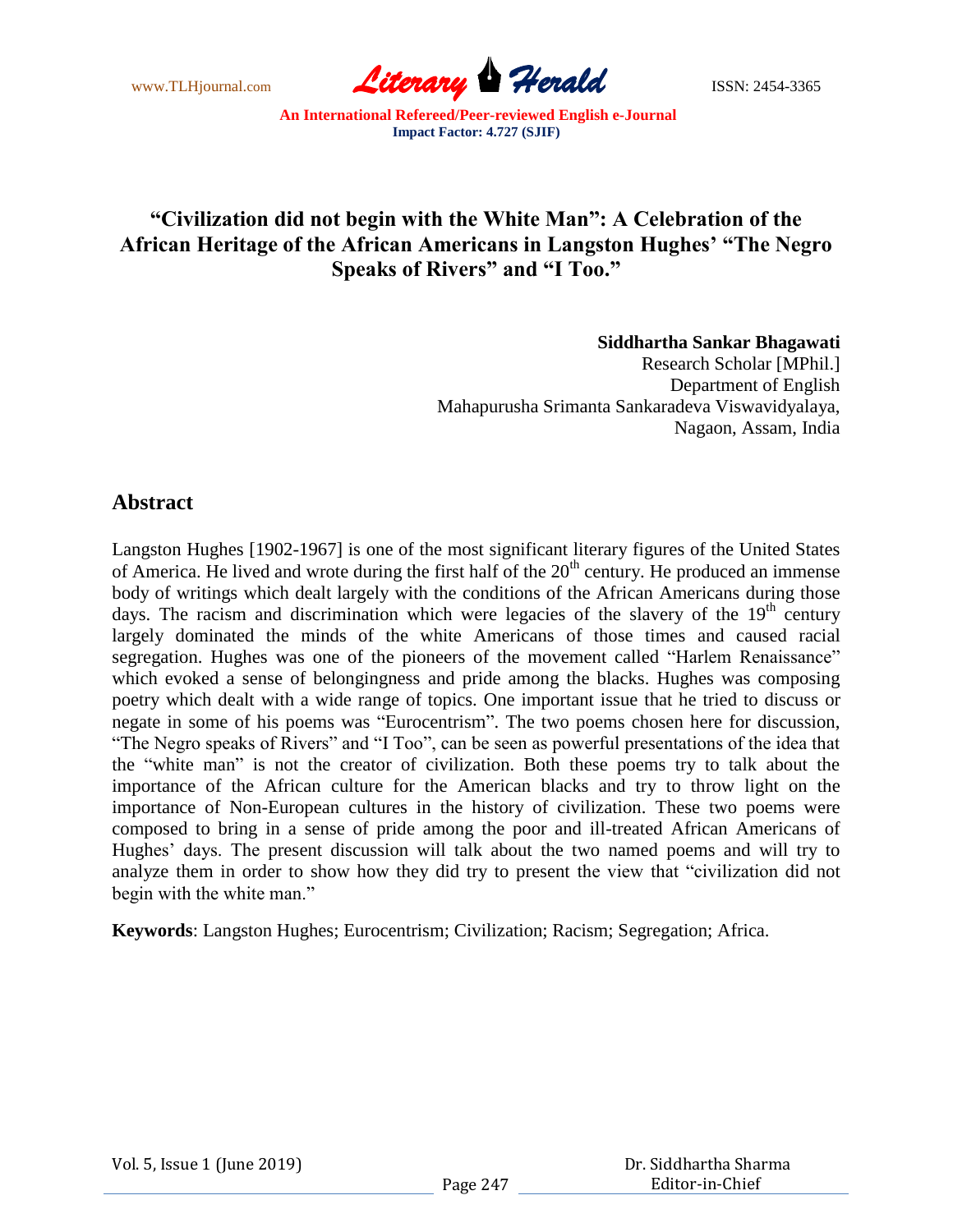www.TLHjournal.com **Literary Herald ISSN: 2454-3365** 

## **"Civilization did not begin with the White Man": A Celebration of the African Heritage of the African Americans in Langston Hughes' "The Negro Speaks of Rivers" and "I Too."**

## **Siddhartha Sankar Bhagawati**

 Research Scholar [MPhil.] Department of English Mahapurusha Srimanta Sankaradeva Viswavidyalaya, Nagaon, Assam, India

## **Abstract**

Langston Hughes [1902-1967] is one of the most significant literary figures of the United States of America. He lived and wrote during the first half of the  $20<sup>th</sup>$  century. He produced an immense body of writings which dealt largely with the conditions of the African Americans during those days. The racism and discrimination which were legacies of the slavery of the  $19<sup>th</sup>$  century largely dominated the minds of the white Americans of those times and caused racial segregation. Hughes was one of the pioneers of the movement called "Harlem Renaissance" which evoked a sense of belongingness and pride among the blacks. Hughes was composing poetry which dealt with a wide range of topics. One important issue that he tried to discuss or negate in some of his poems was "Eurocentrism". The two poems chosen here for discussion, "The Negro speaks of Rivers" and "I Too", can be seen as powerful presentations of the idea that the "white man" is not the creator of civilization. Both these poems try to talk about the importance of the African culture for the American blacks and try to throw light on the importance of Non-European cultures in the history of civilization. These two poems were composed to bring in a sense of pride among the poor and ill-treated African Americans of Hughes' days. The present discussion will talk about the two named poems and will try to analyze them in order to show how they did try to present the view that "civilization did not begin with the white man."

**Keywords**: Langston Hughes; Eurocentrism; Civilization; Racism; Segregation; Africa.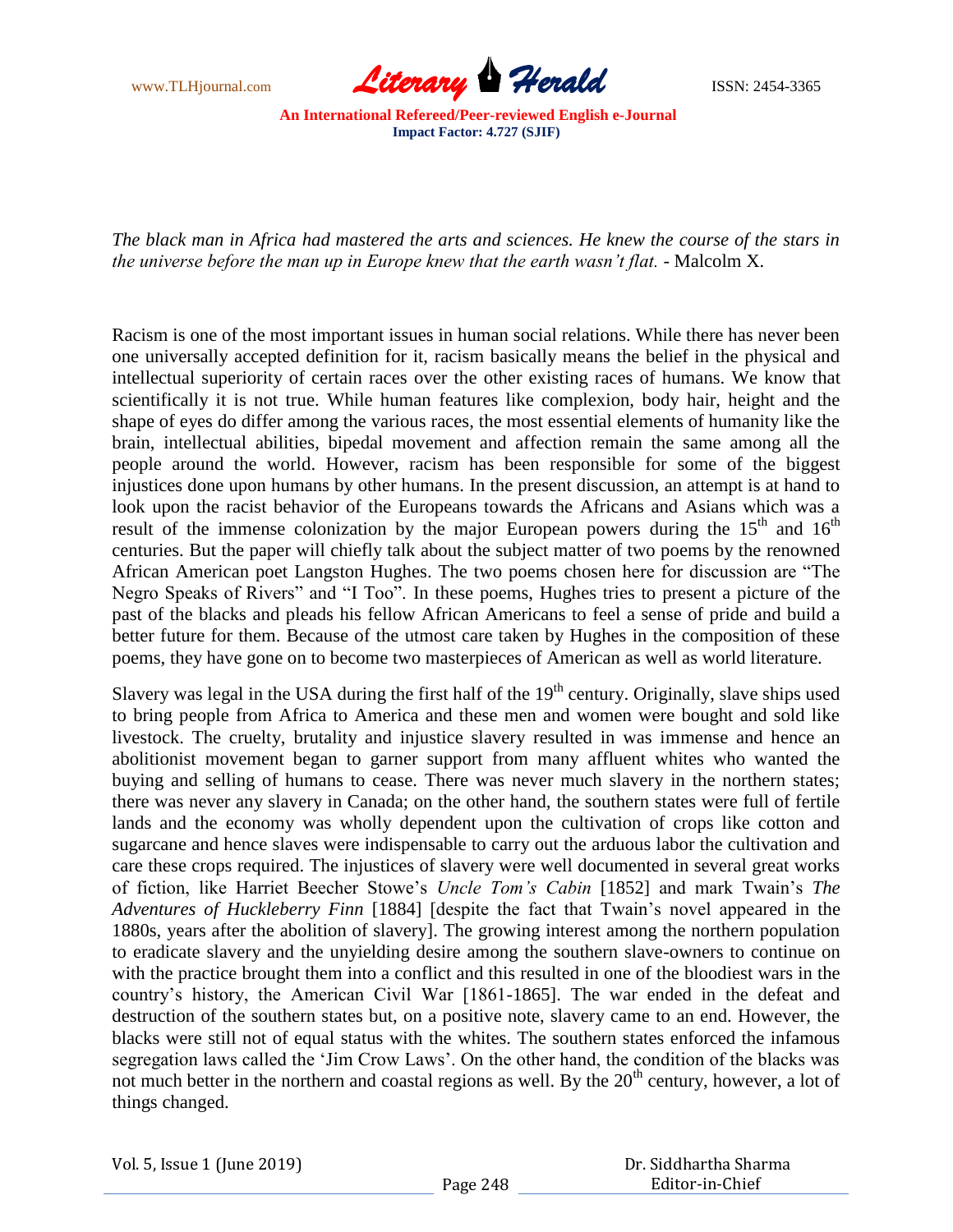

*The black man in Africa had mastered the arts and sciences. He knew the course of the stars in the universe before the man up in Europe knew that the earth wasn't flat. -* Malcolm X.

Racism is one of the most important issues in human social relations. While there has never been one universally accepted definition for it, racism basically means the belief in the physical and intellectual superiority of certain races over the other existing races of humans. We know that scientifically it is not true. While human features like complexion, body hair, height and the shape of eyes do differ among the various races, the most essential elements of humanity like the brain, intellectual abilities, bipedal movement and affection remain the same among all the people around the world. However, racism has been responsible for some of the biggest injustices done upon humans by other humans. In the present discussion, an attempt is at hand to look upon the racist behavior of the Europeans towards the Africans and Asians which was a result of the immense colonization by the major European powers during the  $15<sup>th</sup>$  and  $16<sup>th</sup>$ centuries. But the paper will chiefly talk about the subject matter of two poems by the renowned African American poet Langston Hughes. The two poems chosen here for discussion are "The Negro Speaks of Rivers" and "I Too". In these poems, Hughes tries to present a picture of the past of the blacks and pleads his fellow African Americans to feel a sense of pride and build a better future for them. Because of the utmost care taken by Hughes in the composition of these poems, they have gone on to become two masterpieces of American as well as world literature.

Slavery was legal in the USA during the first half of the  $19<sup>th</sup>$  century. Originally, slave ships used to bring people from Africa to America and these men and women were bought and sold like livestock. The cruelty, brutality and injustice slavery resulted in was immense and hence an abolitionist movement began to garner support from many affluent whites who wanted the buying and selling of humans to cease. There was never much slavery in the northern states; there was never any slavery in Canada; on the other hand, the southern states were full of fertile lands and the economy was wholly dependent upon the cultivation of crops like cotton and sugarcane and hence slaves were indispensable to carry out the arduous labor the cultivation and care these crops required. The injustices of slavery were well documented in several great works of fiction, like Harriet Beecher Stowe"s *Uncle Tom's Cabin* [1852] and mark Twain"s *The Adventures of Huckleberry Finn* [1884] [despite the fact that Twain"s novel appeared in the 1880s, years after the abolition of slavery]. The growing interest among the northern population to eradicate slavery and the unyielding desire among the southern slave-owners to continue on with the practice brought them into a conflict and this resulted in one of the bloodiest wars in the country"s history, the American Civil War [1861-1865]. The war ended in the defeat and destruction of the southern states but, on a positive note, slavery came to an end. However, the blacks were still not of equal status with the whites. The southern states enforced the infamous segregation laws called the "Jim Crow Laws". On the other hand, the condition of the blacks was not much better in the northern and coastal regions as well. By the  $20<sup>th</sup>$  century, however, a lot of things changed.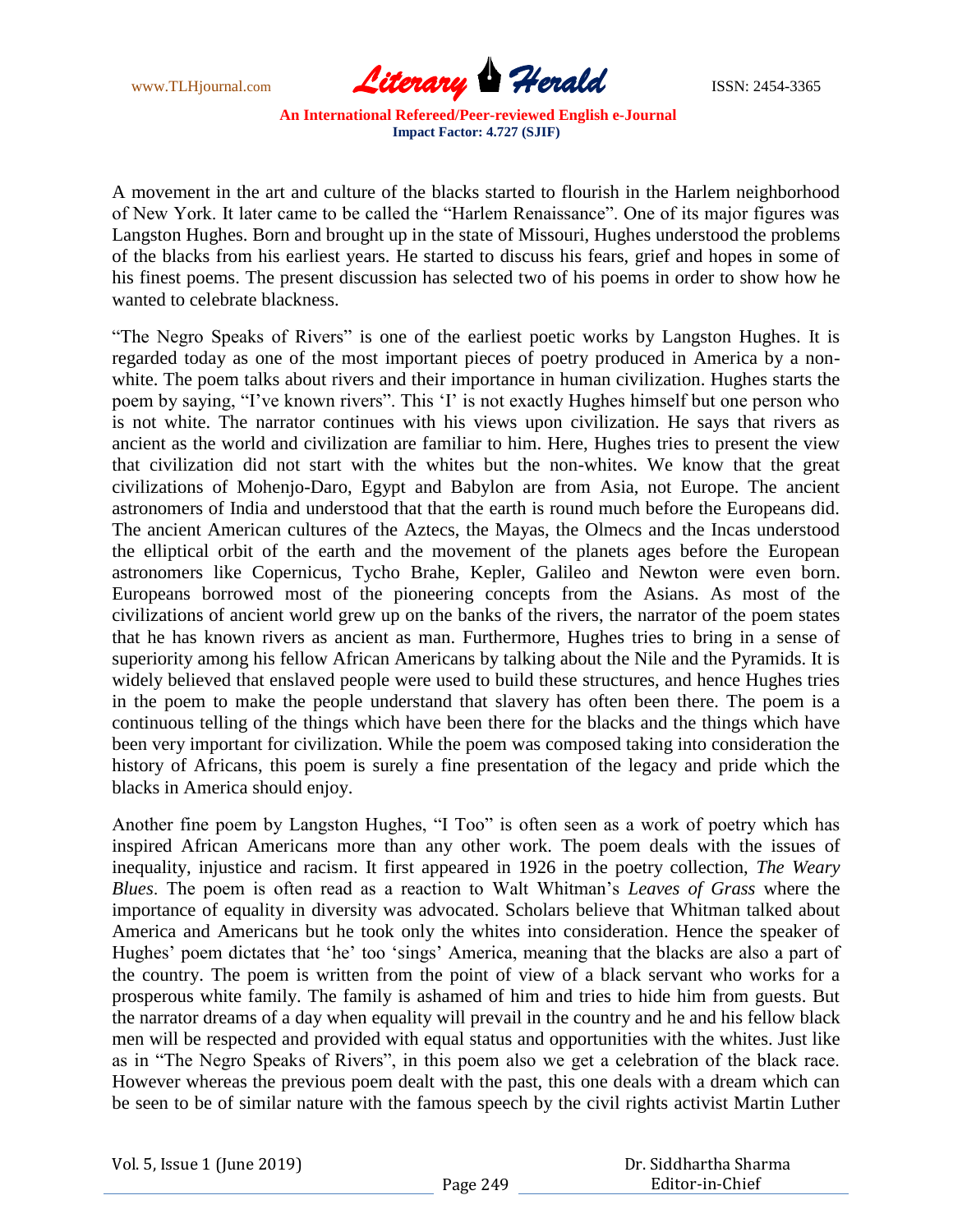

A movement in the art and culture of the blacks started to flourish in the Harlem neighborhood of New York. It later came to be called the "Harlem Renaissance". One of its major figures was Langston Hughes. Born and brought up in the state of Missouri, Hughes understood the problems of the blacks from his earliest years. He started to discuss his fears, grief and hopes in some of his finest poems. The present discussion has selected two of his poems in order to show how he wanted to celebrate blackness.

"The Negro Speaks of Rivers" is one of the earliest poetic works by Langston Hughes. It is regarded today as one of the most important pieces of poetry produced in America by a nonwhite. The poem talks about rivers and their importance in human civilization. Hughes starts the poem by saying, "I've known rivers". This 'I' is not exactly Hughes himself but one person who is not white. The narrator continues with his views upon civilization. He says that rivers as ancient as the world and civilization are familiar to him. Here, Hughes tries to present the view that civilization did not start with the whites but the non-whites. We know that the great civilizations of Mohenjo-Daro, Egypt and Babylon are from Asia, not Europe. The ancient astronomers of India and understood that that the earth is round much before the Europeans did. The ancient American cultures of the Aztecs, the Mayas, the Olmecs and the Incas understood the elliptical orbit of the earth and the movement of the planets ages before the European astronomers like Copernicus, Tycho Brahe, Kepler, Galileo and Newton were even born. Europeans borrowed most of the pioneering concepts from the Asians. As most of the civilizations of ancient world grew up on the banks of the rivers, the narrator of the poem states that he has known rivers as ancient as man. Furthermore, Hughes tries to bring in a sense of superiority among his fellow African Americans by talking about the Nile and the Pyramids. It is widely believed that enslaved people were used to build these structures, and hence Hughes tries in the poem to make the people understand that slavery has often been there. The poem is a continuous telling of the things which have been there for the blacks and the things which have been very important for civilization. While the poem was composed taking into consideration the history of Africans, this poem is surely a fine presentation of the legacy and pride which the blacks in America should enjoy.

Another fine poem by Langston Hughes, "I Too" is often seen as a work of poetry which has inspired African Americans more than any other work. The poem deals with the issues of inequality, injustice and racism. It first appeared in 1926 in the poetry collection, *The Weary Blues*. The poem is often read as a reaction to Walt Whitman"s *Leaves of Grass* where the importance of equality in diversity was advocated. Scholars believe that Whitman talked about America and Americans but he took only the whites into consideration. Hence the speaker of Hughes' poem dictates that 'he' too 'sings' America, meaning that the blacks are also a part of the country. The poem is written from the point of view of a black servant who works for a prosperous white family. The family is ashamed of him and tries to hide him from guests. But the narrator dreams of a day when equality will prevail in the country and he and his fellow black men will be respected and provided with equal status and opportunities with the whites. Just like as in "The Negro Speaks of Rivers", in this poem also we get a celebration of the black race. However whereas the previous poem dealt with the past, this one deals with a dream which can be seen to be of similar nature with the famous speech by the civil rights activist Martin Luther

Vol. 5, Issue 1 (June 2019)